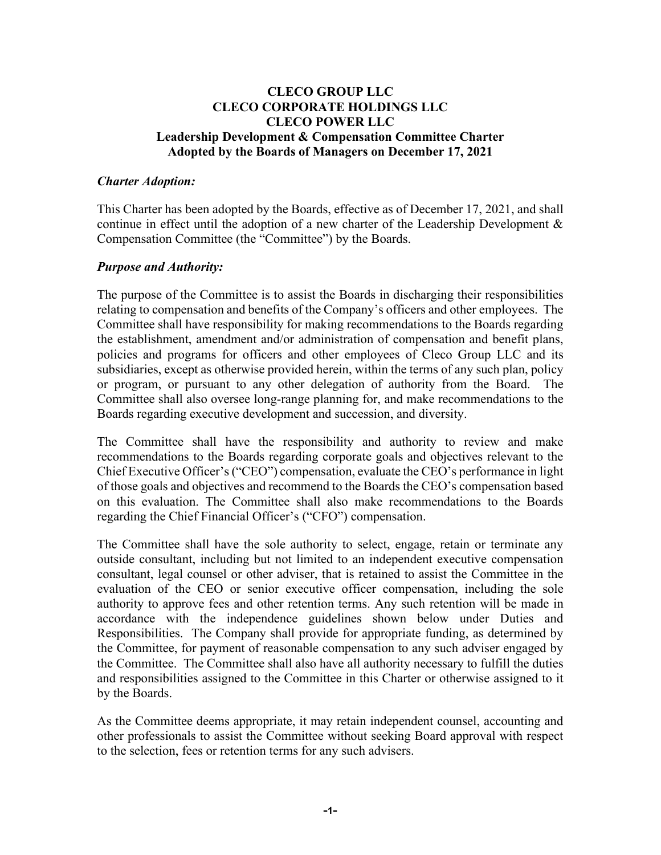### **CLECO GROUP LLC CLECO CORPORATE HOLDINGS LLC CLECO POWER LLC Leadership Development & Compensation Committee Charter Adopted by the Boards of Managers on December 17, 2021**

#### *Charter Adoption:*

This Charter has been adopted by the Boards, effective as of December 17, 2021, and shall continue in effect until the adoption of a new charter of the Leadership Development & Compensation Committee (the "Committee") by the Boards.

#### *Purpose and Authority:*

The purpose of the Committee is to assist the Boards in discharging their responsibilities relating to compensation and benefits of the Company's officers and other employees. The Committee shall have responsibility for making recommendations to the Boards regarding the establishment, amendment and/or administration of compensation and benefit plans, policies and programs for officers and other employees of Cleco Group LLC and its subsidiaries, except as otherwise provided herein, within the terms of any such plan, policy or program, or pursuant to any other delegation of authority from the Board. The Committee shall also oversee long-range planning for, and make recommendations to the Boards regarding executive development and succession, and diversity.

The Committee shall have the responsibility and authority to review and make recommendations to the Boards regarding corporate goals and objectives relevant to the Chief Executive Officer's ("CEO") compensation, evaluate the CEO's performance in light of those goals and objectives and recommend to the Boards the CEO's compensation based on this evaluation. The Committee shall also make recommendations to the Boards regarding the Chief Financial Officer's ("CFO") compensation.

The Committee shall have the sole authority to select, engage, retain or terminate any outside consultant, including but not limited to an independent executive compensation consultant, legal counsel or other adviser, that is retained to assist the Committee in the evaluation of the CEO or senior executive officer compensation, including the sole authority to approve fees and other retention terms. Any such retention will be made in accordance with the independence guidelines shown below under Duties and Responsibilities. The Company shall provide for appropriate funding, as determined by the Committee, for payment of reasonable compensation to any such adviser engaged by the Committee. The Committee shall also have all authority necessary to fulfill the duties and responsibilities assigned to the Committee in this Charter or otherwise assigned to it by the Boards.

As the Committee deems appropriate, it may retain independent counsel, accounting and other professionals to assist the Committee without seeking Board approval with respect to the selection, fees or retention terms for any such advisers.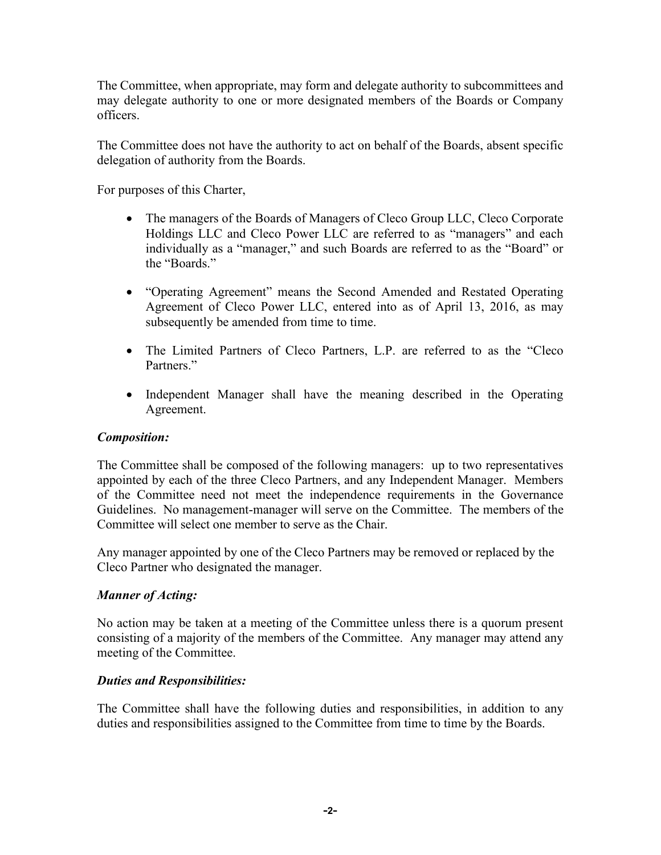The Committee, when appropriate, may form and delegate authority to subcommittees and may delegate authority to one or more designated members of the Boards or Company officers.

The Committee does not have the authority to act on behalf of the Boards, absent specific delegation of authority from the Boards.

For purposes of this Charter,

- The managers of the Boards of Managers of Cleco Group LLC, Cleco Corporate Holdings LLC and Cleco Power LLC are referred to as "managers" and each individually as a "manager," and such Boards are referred to as the "Board" or the "Boards."
- "Operating Agreement" means the Second Amended and Restated Operating Agreement of Cleco Power LLC, entered into as of April 13, 2016, as may subsequently be amended from time to time.
- The Limited Partners of Cleco Partners, L.P. are referred to as the "Cleco Partners."
- Independent Manager shall have the meaning described in the Operating Agreement.

## *Composition:*

The Committee shall be composed of the following managers: up to two representatives appointed by each of the three Cleco Partners, and any Independent Manager. Members of the Committee need not meet the independence requirements in the Governance Guidelines. No management-manager will serve on the Committee. The members of the Committee will select one member to serve as the Chair.

Any manager appointed by one of the Cleco Partners may be removed or replaced by the Cleco Partner who designated the manager.

# *Manner of Acting:*

No action may be taken at a meeting of the Committee unless there is a quorum present consisting of a majority of the members of the Committee. Any manager may attend any meeting of the Committee.

## *Duties and Responsibilities:*

The Committee shall have the following duties and responsibilities, in addition to any duties and responsibilities assigned to the Committee from time to time by the Boards.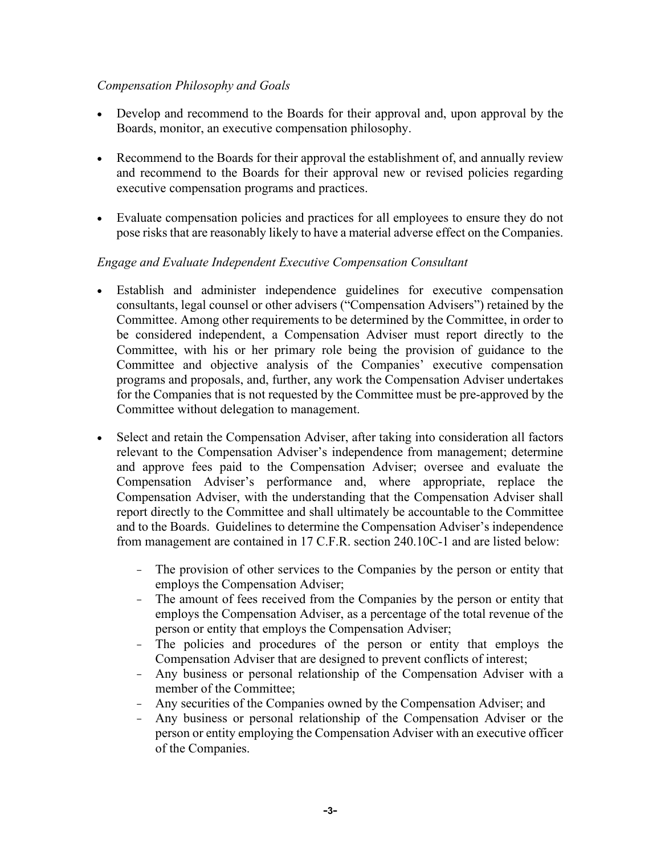### *Compensation Philosophy and Goals*

- Develop and recommend to the Boards for their approval and, upon approval by the Boards, monitor, an executive compensation philosophy.
- Recommend to the Boards for their approval the establishment of, and annually review and recommend to the Boards for their approval new or revised policies regarding executive compensation programs and practices.
- Evaluate compensation policies and practices for all employees to ensure they do not pose risks that are reasonably likely to have a material adverse effect on the Companies.

## *Engage and Evaluate Independent Executive Compensation Consultant*

- Establish and administer independence guidelines for executive compensation consultants, legal counsel or other advisers ("Compensation Advisers") retained by the Committee. Among other requirements to be determined by the Committee, in order to be considered independent, a Compensation Adviser must report directly to the Committee, with his or her primary role being the provision of guidance to the Committee and objective analysis of the Companies' executive compensation programs and proposals, and, further, any work the Compensation Adviser undertakes for the Companies that is not requested by the Committee must be pre-approved by the Committee without delegation to management.
- Select and retain the Compensation Adviser, after taking into consideration all factors relevant to the Compensation Adviser's independence from management; determine and approve fees paid to the Compensation Adviser; oversee and evaluate the Compensation Adviser's performance and, where appropriate, replace the Compensation Adviser, with the understanding that the Compensation Adviser shall report directly to the Committee and shall ultimately be accountable to the Committee and to the Boards. Guidelines to determine the Compensation Adviser's independence from management are contained in 17 C.F.R. section 240.10C-1 and are listed below:
	- The provision of other services to the Companies by the person or entity that employs the Compensation Adviser;
	- The amount of fees received from the Companies by the person or entity that employs the Compensation Adviser, as a percentage of the total revenue of the person or entity that employs the Compensation Adviser;
	- The policies and procedures of the person or entity that employs the Compensation Adviser that are designed to prevent conflicts of interest;
	- Any business or personal relationship of the Compensation Adviser with a member of the Committee;
	- Any securities of the Companies owned by the Compensation Adviser; and
	- Any business or personal relationship of the Compensation Adviser or the person or entity employing the Compensation Adviser with an executive officer of the Companies.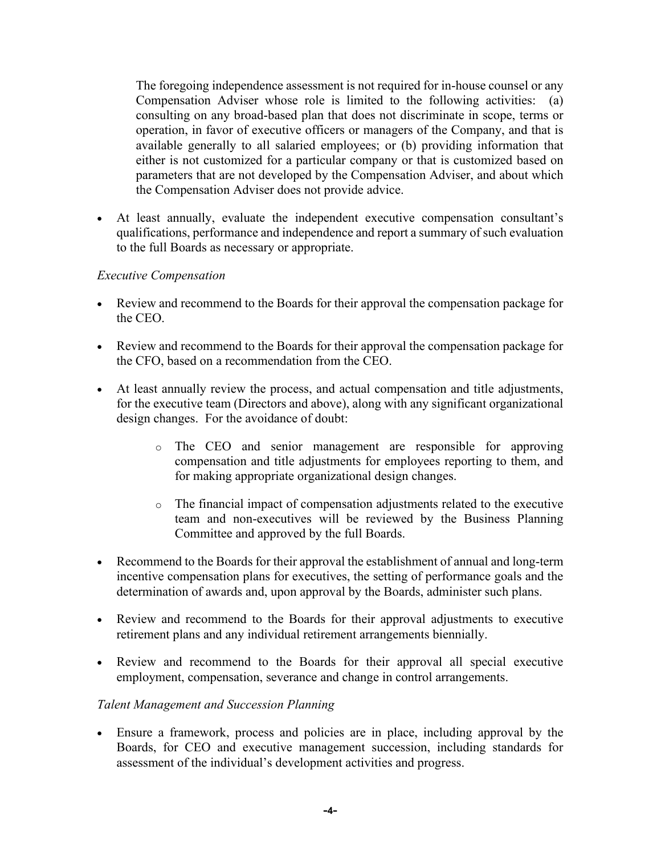The foregoing independence assessment is not required for in-house counsel or any Compensation Adviser whose role is limited to the following activities: (a) consulting on any broad-based plan that does not discriminate in scope, terms or operation, in favor of executive officers or managers of the Company, and that is available generally to all salaried employees; or (b) providing information that either is not customized for a particular company or that is customized based on parameters that are not developed by the Compensation Adviser, and about which the Compensation Adviser does not provide advice.

• At least annually, evaluate the independent executive compensation consultant's qualifications, performance and independence and report a summary of such evaluation to the full Boards as necessary or appropriate.

### *Executive Compensation*

- Review and recommend to the Boards for their approval the compensation package for the CEO.
- Review and recommend to the Boards for their approval the compensation package for the CFO, based on a recommendation from the CEO.
- At least annually review the process, and actual compensation and title adjustments, for the executive team (Directors and above), along with any significant organizational design changes. For the avoidance of doubt:
	- o The CEO and senior management are responsible for approving compensation and title adjustments for employees reporting to them, and for making appropriate organizational design changes.
	- o The financial impact of compensation adjustments related to the executive team and non-executives will be reviewed by the Business Planning Committee and approved by the full Boards.
- Recommend to the Boards for their approval the establishment of annual and long-term incentive compensation plans for executives, the setting of performance goals and the determination of awards and, upon approval by the Boards, administer such plans.
- Review and recommend to the Boards for their approval adjustments to executive retirement plans and any individual retirement arrangements biennially.
- Review and recommend to the Boards for their approval all special executive employment, compensation, severance and change in control arrangements.

#### *Talent Management and Succession Planning*

• Ensure a framework, process and policies are in place, including approval by the Boards, for CEO and executive management succession, including standards for assessment of the individual's development activities and progress.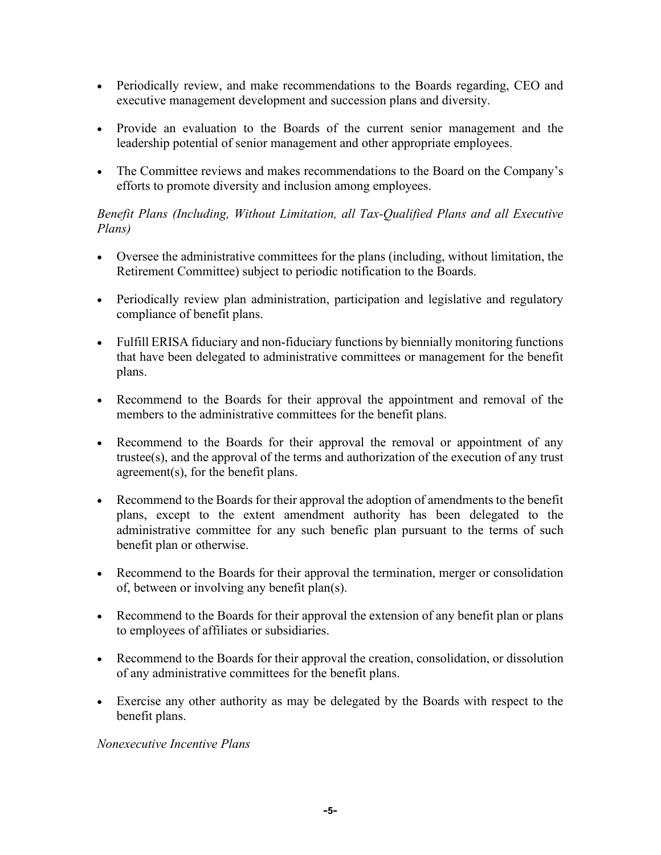- Periodically review, and make recommendations to the Boards regarding, CEO and executive management development and succession plans and diversity.
- Provide an evaluation to the Boards of the current senior management and the leadership potential of senior management and other appropriate employees.
- The Committee reviews and makes recommendations to the Board on the Company's efforts to promote diversity and inclusion among employees.

## *Benefit Plans (Including, Without Limitation, all Tax-Qualified Plans and all Executive Plans)*

- Oversee the administrative committees for the plans (including, without limitation, the Retirement Committee) subject to periodic notification to the Boards.
- Periodically review plan administration, participation and legislative and regulatory compliance of benefit plans.
- Fulfill ERISA fiduciary and non-fiduciary functions by biennially monitoring functions that have been delegated to administrative committees or management for the benefit plans.
- Recommend to the Boards for their approval the appointment and removal of the members to the administrative committees for the benefit plans.
- Recommend to the Boards for their approval the removal or appointment of any trustee(s), and the approval of the terms and authorization of the execution of any trust agreement(s), for the benefit plans.
- Recommend to the Boards for their approval the adoption of amendments to the benefit plans, except to the extent amendment authority has been delegated to the administrative committee for any such benefic plan pursuant to the terms of such benefit plan or otherwise.
- Recommend to the Boards for their approval the termination, merger or consolidation of, between or involving any benefit plan(s).
- Recommend to the Boards for their approval the extension of any benefit plan or plans to employees of affiliates or subsidiaries.
- Recommend to the Boards for their approval the creation, consolidation, or dissolution of any administrative committees for the benefit plans.
- Exercise any other authority as may be delegated by the Boards with respect to the benefit plans.

## *Nonexecutive Incentive Plans*